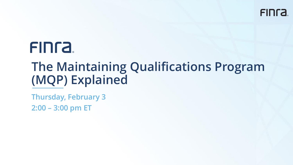# FINT2.

## **The Maintaining Qualifications Program (MQP) Explained**

**Thursday, February 3 2:00 – 3:00 pm ET**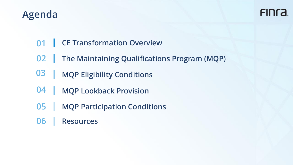#### **Agenda**

#### **FINCA**

#### **CE Transformation Overview 01**

- **02** The Maintaining Qualifications Program (MQP)
- **03MQP Eligibility Conditions** - 1
- **MQP Lookback Provision 04**
- **MQP Participation Conditions 05**
- **06 Resources**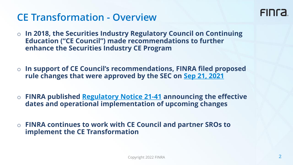#### **CE Transformation - Overview**

- o **In 2018, the Securities Industry Regulatory Council on Continuing Education ("CE Council") made recommendations to further enhance the Securities Industry CE Program**
- o **In support of CE Council's recommendations, FINRA filed proposed rule changes that were approved by the SEC on [Sep 21, 2021](https://www.finra.org/rules-guidance/rule-filings/sr-finra-2021-015)**
- o **FINRA published [Regulatory Notice 21-41](https://www.finra.org/rules-guidance/notices/21-41) announcing the effective dates and operational implementation of upcoming changes**
- o **FINRA continues to work with CE Council and partner SROs to implement the CE Transformation**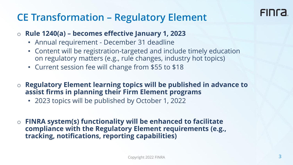#### **CE Transformation – Regulatory Element**

- o **Rule 1240(a) – becomes effective January 1, 2023**
	- Annual requirement December 31 deadline
	- Content will be registration-targeted and include timely education on regulatory matters (e.g., rule changes, industry hot topics)
	- Current session fee will change from \$55 to \$18
- o **Regulatory Element learning topics will be published in advance to assist firms in planning their Firm Element programs**
	- 2023 topics will be published by October 1, 2022
- o **FINRA system(s) functionality will be enhanced to facilitate compliance with the Regulatory Element requirements (e.g., tracking, notifications, reporting capabilities)**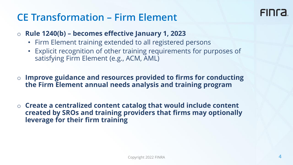#### **CE Transformation – Firm Element**

- o **Rule 1240(b) – becomes effective January 1, 2023**
	- Firm Element training extended to all registered persons
	- Explicit recognition of other training requirements for purposes of satisfying Firm Element (e.g., ACM, AML)
- o **Improve guidance and resources provided to firms for conducting the Firm Element annual needs analysis and training program**
- o **Create a centralized content catalog that would include content created by SROs and training providers that firms may optionally leverage for their firm training**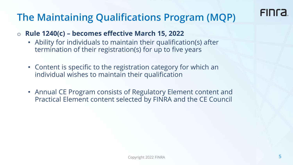## **The Maintaining Qualifications Program (MQP)**

- o **Rule 1240(c) – becomes effective March 15, 2022**
	- Ability for individuals to maintain their qualification(s) after termination of their registration(s) for up to five years
	- Content is specific to the registration category for which an individual wishes to maintain their qualification
	- Annual CE Program consists of Regulatory Element content and Practical Element content selected by FINRA and the CE Council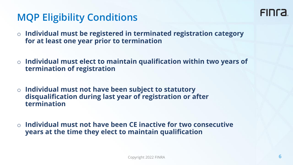### **MQP Eligibility Conditions**

- o **Individual must be registered in terminated registration category for at least one year prior to termination**
- o **Individual must elect to maintain qualification within two years of termination of registration**
- o **Individual must not have been subject to statutory disqualification during last year of registration or after termination**
- o **Individual must not have been CE inactive for two consecutive years at the time they elect to maintain qualification**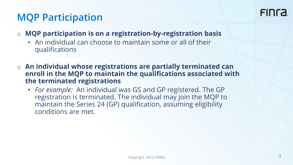### **MQP Participation**

- o **MQP participation is on a registration-by-registration basis**
	- An individual can choose to maintain some or all of their qualifications
- o **An individual whose registrations are partially terminated can enroll in the MQP to maintain the qualifications associated with the terminated registrations**
	- *For example:* An individual was GS and GP registered. The GP registration is terminated. The individual may join the MQP to maintain the Series 24 (GP) qualification, assuming eligibility conditions are met.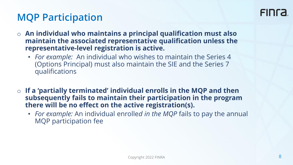### **MQP Participation**

- o **An individual who maintains a principal qualification must also maintain the associated representative qualification unless the representative-level registration is active.**
	- *For example:* An individual who wishes to maintain the Series 4 (Options Principal) must also maintain the SIE and the Series 7 qualifications
- o **If a 'partially terminated' individual enrolls in the MQP and then subsequently fails to maintain their participation in the program there will be no effect on the active registration(s).**
	- *For example:* An individual enrolle*d in the MQP* fails to pay the annual MQP participation fee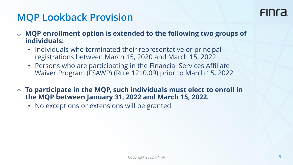#### **MQP Lookback Provision**

- o **MQP enrollment option is extended to the following two groups of individuals:**
	- Individuals who terminated their representative or principal registrations between March 15, 2020 and March 15, 2022
	- Persons who are participating in the Financial Services Affiliate Waiver Program (FSAWP) (Rule 1210.09) prior to March 15, 2022
- o **To participate in the MQP, such individuals must elect to enroll in the MQP between January 31, 2022 and March 15, 2022.**
	- No exceptions or extensions will be granted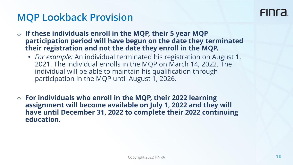### **MQP Lookback Provision**

- o **If these individuals enroll in the MQP, their 5 year MQP participation period will have begun on the date they terminated their registration and not the date they enroll in the MQP.**
	- *For example:* An individual terminated his registration on August 1, 2021. The individual enrolls in the MQP on March 14, 2022. The individual will be able to maintain his qualification through participation in the MQP until August 1, 2026.
- o **For individuals who enroll in the MQP, their 2022 learning assignment will become available on July 1, 2022 and they will have until December 31, 2022 to complete their 2022 continuing education.**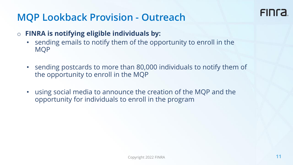#### **MQP Lookback Provision - Outreach**

- o **FINRA is notifying eligible individuals by:**
	- sending emails to notify them of the opportunity to enroll in the MQP
	- sending postcards to more than 80,000 individuals to notify them of the opportunity to enroll in the MQP
	- using social media to announce the creation of the MQP and the opportunity for individuals to enroll in the program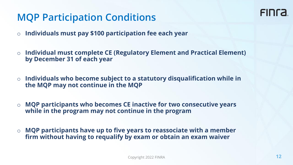#### **MQP Participation Conditions**

- o **Individuals must pay \$100 participation fee each year**
- o **Individual must complete CE (Regulatory Element and Practical Element) by December 31 of each year**
- o **Individuals who become subject to a statutory disqualification while in the MQP may not continue in the MQP**
- o **MQP participants who becomes CE inactive for two consecutive years while in the program may not continue in the program**
- o **MQP participants have up to five years to reassociate with a member firm without having to requalify by exam or obtain an exam waiver**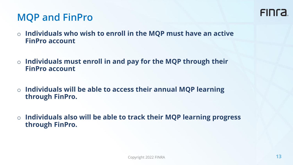#### **MQP and FinPro**

- o **Individuals who wish to enroll in the MQP must have an active FinPro account**
- o **Individuals must enroll in and pay for the MQP through their FinPro account**
- o **Individuals will be able to access their annual MQP learning through FinPro.**
- o **Individuals also will be able to track their MQP learning progress through FinPro.**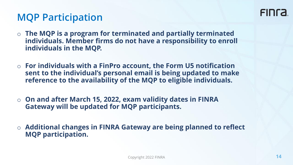#### **MQP Participation**

- o **The MQP is a program for terminated and partially terminated individuals. Member firms do not have a responsibility to enroll individuals in the MQP.**
- o **For individuals with a FinPro account, the Form U5 notification sent to the individual's personal email is being updated to make reference to the availability of the MQP to eligible individuals.**
- o **On and after March 15, 2022, exam validity dates in FINRA Gateway will be updated for MQP participants.**
- o **Additional changes in FINRA Gateway are being planned to reflect MQP participation.**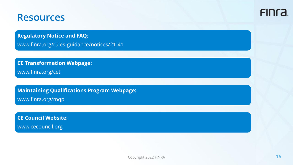#### **Resources**

#### FIN<sub>ra</sub>

**Regulatory Notice and FAQ:** 

www.finra.org/rules-guidance/notices/21-41

**CE Transformation Webpage:**  www.finra.org/cet

**Maintaining Qualifications Program Webpage:**  www.finra.org/mqp

**CE Council Website:**  www.cecouncil.org